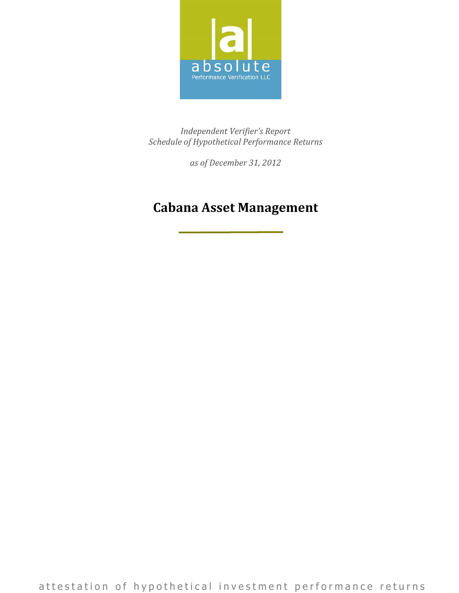

*Independent Verifier's Report Schedule of Hypothetical Performance Returns*

*as of December 31, 2012*

### **Cabana Asset Management**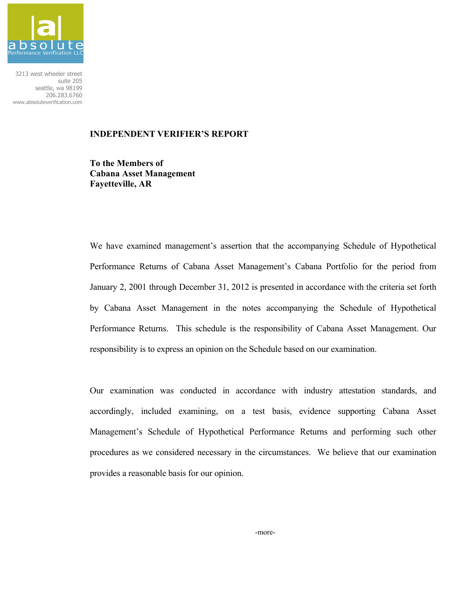

3213 west wheeler street suite 205 seattle, wa 98199 206.283.6760 www.absoluteverification.com

#### **INDEPENDENT VERIFIER'S REPORT**

**To the Members of Cabana Asset Management Fayetteville, AR**

We have examined management's assertion that the accompanying Schedule of Hypothetical Performance Returns of Cabana Asset Management's Cabana Portfolio for the period from January 2, 2001 through December 31, 2012 is presented in accordance with the criteria set forth by Cabana Asset Management in the notes accompanying the Schedule of Hypothetical Performance Returns. This schedule is the responsibility of Cabana Asset Management. Our responsibility is to express an opinion on the Schedule based on our examination.

Our examination was conducted in accordance with industry attestation standards, and accordingly, included examining, on a test basis, evidence supporting Cabana Asset Management's Schedule of Hypothetical Performance Returns and performing such other procedures as we considered necessary in the circumstances. We believe that our examination provides a reasonable basis for our opinion.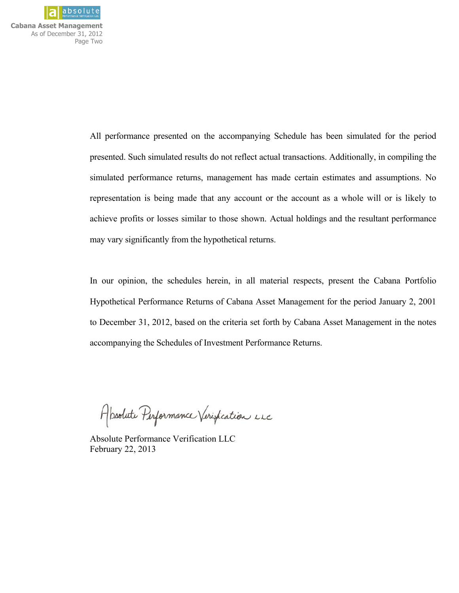

**Cabana Asset Management**  As of December 31, 2012 Page Two

> All performance presented on the accompanying Schedule has been simulated for the period presented. Such simulated results do not reflect actual transactions. Additionally, in compiling the simulated performance returns, management has made certain estimates and assumptions. No representation is being made that any account or the account as a whole will or is likely to achieve profits or losses similar to those shown. Actual holdings and the resultant performance may vary significantly from the hypothetical returns.

> In our opinion, the schedules herein, in all material respects, present the Cabana Portfolio Hypothetical Performance Returns of Cabana Asset Management for the period January 2, 2001 to December 31, 2012, based on the criteria set forth by Cabana Asset Management in the notes accompanying the Schedules of Investment Performance Returns.

Absolute Performance Verification LLC

Absolute Performance Verification LLC February 22, 2013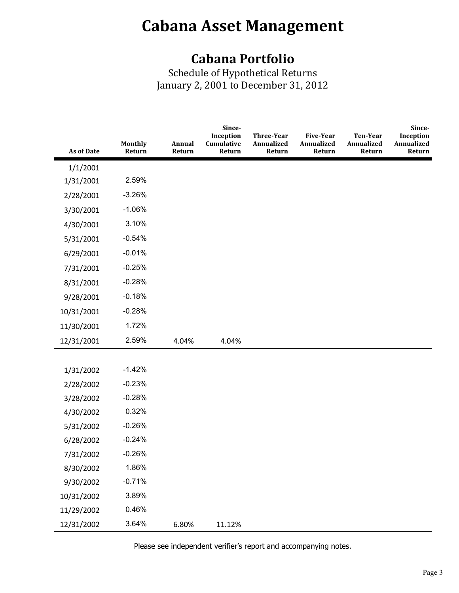### **Cabana Portfolio**

Schedule of Hypothetical Returns January 2, 2001 to December 31, 2012

|            |                          |                  | Since-<br>Inception  | <b>Three-Year</b>    | <b>Five-Year</b>     | <b>Ten-Year</b>      | Since-<br>Inception  |
|------------|--------------------------|------------------|----------------------|----------------------|----------------------|----------------------|----------------------|
| As of Date | <b>Monthly</b><br>Return | Annual<br>Return | Cumulative<br>Return | Annualized<br>Return | Annualized<br>Return | Annualized<br>Return | Annualized<br>Return |
| 1/1/2001   |                          |                  |                      |                      |                      |                      |                      |
| 1/31/2001  | 2.59%                    |                  |                      |                      |                      |                      |                      |
| 2/28/2001  | $-3.26%$                 |                  |                      |                      |                      |                      |                      |
| 3/30/2001  | $-1.06%$                 |                  |                      |                      |                      |                      |                      |
| 4/30/2001  | 3.10%                    |                  |                      |                      |                      |                      |                      |
| 5/31/2001  | $-0.54%$                 |                  |                      |                      |                      |                      |                      |
| 6/29/2001  | $-0.01%$                 |                  |                      |                      |                      |                      |                      |
| 7/31/2001  | $-0.25%$                 |                  |                      |                      |                      |                      |                      |
| 8/31/2001  | $-0.28%$                 |                  |                      |                      |                      |                      |                      |
| 9/28/2001  | $-0.18%$                 |                  |                      |                      |                      |                      |                      |
| 10/31/2001 | $-0.28%$                 |                  |                      |                      |                      |                      |                      |
| 11/30/2001 | 1.72%                    |                  |                      |                      |                      |                      |                      |
| 12/31/2001 | 2.59%                    | 4.04%            | 4.04%                |                      |                      |                      |                      |
|            |                          |                  |                      |                      |                      |                      |                      |
| 1/31/2002  | $-1.42%$                 |                  |                      |                      |                      |                      |                      |
| 2/28/2002  | $-0.23%$                 |                  |                      |                      |                      |                      |                      |
| 3/28/2002  | $-0.28%$                 |                  |                      |                      |                      |                      |                      |
| 4/30/2002  | 0.32%                    |                  |                      |                      |                      |                      |                      |
| 5/31/2002  | $-0.26%$                 |                  |                      |                      |                      |                      |                      |
| 6/28/2002  | $-0.24%$                 |                  |                      |                      |                      |                      |                      |
| 7/31/2002  | $-0.26%$                 |                  |                      |                      |                      |                      |                      |
| 8/30/2002  | 1.86%                    |                  |                      |                      |                      |                      |                      |
| 9/30/2002  | $-0.71%$                 |                  |                      |                      |                      |                      |                      |
| 10/31/2002 | 3.89%                    |                  |                      |                      |                      |                      |                      |
| 11/29/2002 | 0.46%                    |                  |                      |                      |                      |                      |                      |
| 12/31/2002 | 3.64%                    | 6.80%            | 11.12%               |                      |                      |                      |                      |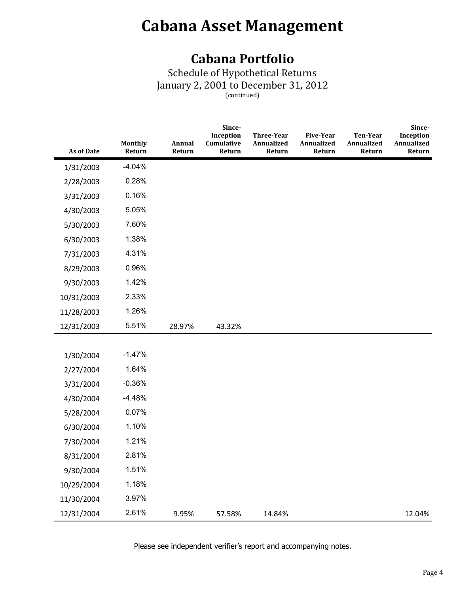### **Cabana Portfolio**

Schedule of Hypothetical Returns January 2, 2001 to December 31, 2012 (continued)

| <b>As of Date</b> | <b>Monthly</b><br>Return | Annual<br>Return | Since-<br>Inception<br>Cumulative<br>Return | <b>Three-Year</b><br>Annualized<br>Return | <b>Five-Year</b><br>Annualized<br>Return | <b>Ten-Year</b><br>Annualized<br>Return | Since-<br>Inception<br>Annualized<br>Return |
|-------------------|--------------------------|------------------|---------------------------------------------|-------------------------------------------|------------------------------------------|-----------------------------------------|---------------------------------------------|
| 1/31/2003         | $-4.04%$                 |                  |                                             |                                           |                                          |                                         |                                             |
| 2/28/2003         | 0.28%                    |                  |                                             |                                           |                                          |                                         |                                             |
| 3/31/2003         | 0.16%                    |                  |                                             |                                           |                                          |                                         |                                             |
| 4/30/2003         | 5.05%                    |                  |                                             |                                           |                                          |                                         |                                             |
| 5/30/2003         | 7.60%                    |                  |                                             |                                           |                                          |                                         |                                             |
| 6/30/2003         | 1.38%                    |                  |                                             |                                           |                                          |                                         |                                             |
| 7/31/2003         | 4.31%                    |                  |                                             |                                           |                                          |                                         |                                             |
| 8/29/2003         | 0.96%                    |                  |                                             |                                           |                                          |                                         |                                             |
| 9/30/2003         | 1.42%                    |                  |                                             |                                           |                                          |                                         |                                             |
| 10/31/2003        | 2.33%                    |                  |                                             |                                           |                                          |                                         |                                             |
| 11/28/2003        | 1.26%                    |                  |                                             |                                           |                                          |                                         |                                             |
| 12/31/2003        | 5.51%                    | 28.97%           | 43.32%                                      |                                           |                                          |                                         |                                             |
|                   |                          |                  |                                             |                                           |                                          |                                         |                                             |
| 1/30/2004         | $-1.47%$                 |                  |                                             |                                           |                                          |                                         |                                             |
| 2/27/2004         | 1.64%                    |                  |                                             |                                           |                                          |                                         |                                             |
| 3/31/2004         | $-0.36%$                 |                  |                                             |                                           |                                          |                                         |                                             |
| 4/30/2004         | $-4.48%$                 |                  |                                             |                                           |                                          |                                         |                                             |
| 5/28/2004         | 0.07%                    |                  |                                             |                                           |                                          |                                         |                                             |
| 6/30/2004         | 1.10%                    |                  |                                             |                                           |                                          |                                         |                                             |
| 7/30/2004         | 1.21%                    |                  |                                             |                                           |                                          |                                         |                                             |
| 8/31/2004         | 2.81%                    |                  |                                             |                                           |                                          |                                         |                                             |
| 9/30/2004         | 1.51%                    |                  |                                             |                                           |                                          |                                         |                                             |
| 10/29/2004        | 1.18%                    |                  |                                             |                                           |                                          |                                         |                                             |
| 11/30/2004        | 3.97%                    |                  |                                             |                                           |                                          |                                         |                                             |
| 12/31/2004        | 2.61%                    | 9.95%            | 57.58%                                      | 14.84%                                    |                                          |                                         | 12.04%                                      |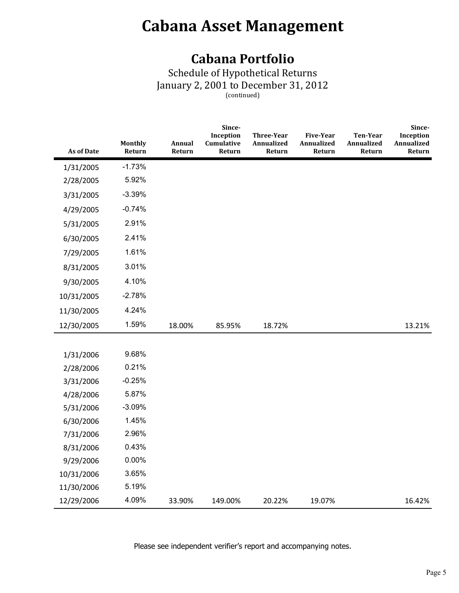### **Cabana Portfolio**

Schedule of Hypothetical Returns January 2, 2001 to December 31, 2012 (continued)

| <b>As of Date</b> | Monthly<br>Return | Annual<br>Return | Since-<br>Inception<br>Cumulative<br>Return | <b>Three-Year</b><br>Annualized<br>Return | <b>Five-Year</b><br>Annualized<br>Return | Ten-Year<br>Annualized<br>Return | Since-<br>Inception<br>Annualized<br>Return |
|-------------------|-------------------|------------------|---------------------------------------------|-------------------------------------------|------------------------------------------|----------------------------------|---------------------------------------------|
| 1/31/2005         | $-1.73%$          |                  |                                             |                                           |                                          |                                  |                                             |
| 2/28/2005         | 5.92%             |                  |                                             |                                           |                                          |                                  |                                             |
| 3/31/2005         | $-3.39%$          |                  |                                             |                                           |                                          |                                  |                                             |
| 4/29/2005         | $-0.74%$          |                  |                                             |                                           |                                          |                                  |                                             |
| 5/31/2005         | 2.91%             |                  |                                             |                                           |                                          |                                  |                                             |
| 6/30/2005         | 2.41%             |                  |                                             |                                           |                                          |                                  |                                             |
| 7/29/2005         | 1.61%             |                  |                                             |                                           |                                          |                                  |                                             |
| 8/31/2005         | 3.01%             |                  |                                             |                                           |                                          |                                  |                                             |
| 9/30/2005         | 4.10%             |                  |                                             |                                           |                                          |                                  |                                             |
| 10/31/2005        | $-2.78%$          |                  |                                             |                                           |                                          |                                  |                                             |
| 11/30/2005        | 4.24%             |                  |                                             |                                           |                                          |                                  |                                             |
| 12/30/2005        | 1.59%             | 18.00%           | 85.95%                                      | 18.72%                                    |                                          |                                  | 13.21%                                      |
|                   |                   |                  |                                             |                                           |                                          |                                  |                                             |
| 1/31/2006         | 9.68%             |                  |                                             |                                           |                                          |                                  |                                             |
| 2/28/2006         | 0.21%             |                  |                                             |                                           |                                          |                                  |                                             |
| 3/31/2006         | $-0.25%$          |                  |                                             |                                           |                                          |                                  |                                             |
| 4/28/2006         | 5.87%             |                  |                                             |                                           |                                          |                                  |                                             |
| 5/31/2006         | $-3.09%$          |                  |                                             |                                           |                                          |                                  |                                             |
| 6/30/2006         | 1.45%             |                  |                                             |                                           |                                          |                                  |                                             |
| 7/31/2006         | 2.96%             |                  |                                             |                                           |                                          |                                  |                                             |
| 8/31/2006         | 0.43%             |                  |                                             |                                           |                                          |                                  |                                             |
| 9/29/2006         | $0.00\%$          |                  |                                             |                                           |                                          |                                  |                                             |
| 10/31/2006        | 3.65%             |                  |                                             |                                           |                                          |                                  |                                             |
| 11/30/2006        | 5.19%             |                  |                                             |                                           |                                          |                                  |                                             |
| 12/29/2006        | 4.09%             | 33.90%           | 149.00%                                     | 20.22%                                    | 19.07%                                   |                                  | 16.42%                                      |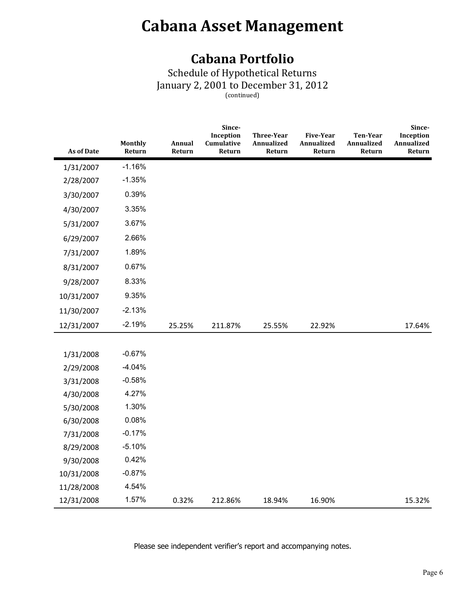### **Cabana Portfolio**

Schedule of Hypothetical Returns January 2, 2001 to December 31, 2012 (continued)

| <b>As of Date</b> | <b>Monthly</b><br>Return | Annual<br>Return | Since-<br>Inception<br>Cumulative<br>Return | <b>Three-Year</b><br>Annualized<br>Return | <b>Five-Year</b><br>Annualized<br>Return | Ten-Year<br>Annualized<br>Return | Since-<br>Inception<br>Annualized<br>Return |
|-------------------|--------------------------|------------------|---------------------------------------------|-------------------------------------------|------------------------------------------|----------------------------------|---------------------------------------------|
| 1/31/2007         | $-1.16%$                 |                  |                                             |                                           |                                          |                                  |                                             |
| 2/28/2007         | $-1.35%$                 |                  |                                             |                                           |                                          |                                  |                                             |
| 3/30/2007         | 0.39%                    |                  |                                             |                                           |                                          |                                  |                                             |
| 4/30/2007         | 3.35%                    |                  |                                             |                                           |                                          |                                  |                                             |
| 5/31/2007         | 3.67%                    |                  |                                             |                                           |                                          |                                  |                                             |
| 6/29/2007         | 2.66%                    |                  |                                             |                                           |                                          |                                  |                                             |
| 7/31/2007         | 1.89%                    |                  |                                             |                                           |                                          |                                  |                                             |
| 8/31/2007         | 0.67%                    |                  |                                             |                                           |                                          |                                  |                                             |
| 9/28/2007         | 8.33%                    |                  |                                             |                                           |                                          |                                  |                                             |
| 10/31/2007        | 9.35%                    |                  |                                             |                                           |                                          |                                  |                                             |
| 11/30/2007        | $-2.13%$                 |                  |                                             |                                           |                                          |                                  |                                             |
| 12/31/2007        | $-2.19%$                 | 25.25%           | 211.87%                                     | 25.55%                                    | 22.92%                                   |                                  | 17.64%                                      |
|                   |                          |                  |                                             |                                           |                                          |                                  |                                             |
| 1/31/2008         | $-0.67%$                 |                  |                                             |                                           |                                          |                                  |                                             |
| 2/29/2008         | $-4.04%$                 |                  |                                             |                                           |                                          |                                  |                                             |
| 3/31/2008         | $-0.58%$                 |                  |                                             |                                           |                                          |                                  |                                             |
| 4/30/2008         | 4.27%                    |                  |                                             |                                           |                                          |                                  |                                             |
| 5/30/2008         | 1.30%                    |                  |                                             |                                           |                                          |                                  |                                             |
| 6/30/2008         | 0.08%                    |                  |                                             |                                           |                                          |                                  |                                             |
| 7/31/2008         | $-0.17%$                 |                  |                                             |                                           |                                          |                                  |                                             |
| 8/29/2008         | $-5.10%$                 |                  |                                             |                                           |                                          |                                  |                                             |
| 9/30/2008         | 0.42%                    |                  |                                             |                                           |                                          |                                  |                                             |
| 10/31/2008        | $-0.87%$                 |                  |                                             |                                           |                                          |                                  |                                             |
| 11/28/2008        | 4.54%                    |                  |                                             |                                           |                                          |                                  |                                             |
| 12/31/2008        | 1.57%                    | 0.32%            | 212.86%                                     | 18.94%                                    | 16.90%                                   |                                  | 15.32%                                      |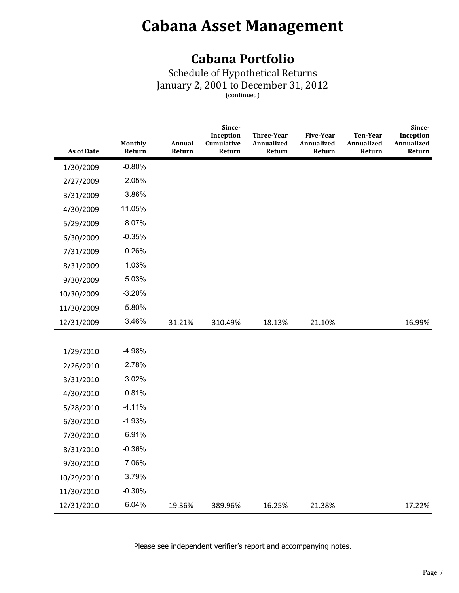### **Cabana Portfolio**

Schedule of Hypothetical Returns January 2, 2001 to December 31, 2012 (continued)

| <b>As of Date</b> | Monthly<br>Return | Annual<br>Return | Since-<br>Inception<br>Cumulative<br>Return | <b>Three-Year</b><br>Annualized<br>Return | <b>Five-Year</b><br>Annualized<br>Return | Ten-Year<br>Annualized<br>Return | Since-<br>Inception<br>Annualized<br>Return |
|-------------------|-------------------|------------------|---------------------------------------------|-------------------------------------------|------------------------------------------|----------------------------------|---------------------------------------------|
| 1/30/2009         | $-0.80%$          |                  |                                             |                                           |                                          |                                  |                                             |
| 2/27/2009         | 2.05%             |                  |                                             |                                           |                                          |                                  |                                             |
| 3/31/2009         | $-3.86%$          |                  |                                             |                                           |                                          |                                  |                                             |
| 4/30/2009         | 11.05%            |                  |                                             |                                           |                                          |                                  |                                             |
| 5/29/2009         | 8.07%             |                  |                                             |                                           |                                          |                                  |                                             |
| 6/30/2009         | $-0.35%$          |                  |                                             |                                           |                                          |                                  |                                             |
| 7/31/2009         | 0.26%             |                  |                                             |                                           |                                          |                                  |                                             |
| 8/31/2009         | 1.03%             |                  |                                             |                                           |                                          |                                  |                                             |
| 9/30/2009         | 5.03%             |                  |                                             |                                           |                                          |                                  |                                             |
| 10/30/2009        | $-3.20%$          |                  |                                             |                                           |                                          |                                  |                                             |
| 11/30/2009        | 5.80%             |                  |                                             |                                           |                                          |                                  |                                             |
| 12/31/2009        | 3.46%             | 31.21%           | 310.49%                                     | 18.13%                                    | 21.10%                                   |                                  | 16.99%                                      |
|                   |                   |                  |                                             |                                           |                                          |                                  |                                             |
| 1/29/2010         | $-4.98%$          |                  |                                             |                                           |                                          |                                  |                                             |
| 2/26/2010         | 2.78%             |                  |                                             |                                           |                                          |                                  |                                             |
| 3/31/2010         | 3.02%             |                  |                                             |                                           |                                          |                                  |                                             |
| 4/30/2010         | 0.81%             |                  |                                             |                                           |                                          |                                  |                                             |
| 5/28/2010         | $-4.11%$          |                  |                                             |                                           |                                          |                                  |                                             |
| 6/30/2010         | $-1.93%$          |                  |                                             |                                           |                                          |                                  |                                             |
| 7/30/2010         | 6.91%             |                  |                                             |                                           |                                          |                                  |                                             |
| 8/31/2010         | $-0.36%$          |                  |                                             |                                           |                                          |                                  |                                             |
| 9/30/2010         | 7.06%             |                  |                                             |                                           |                                          |                                  |                                             |
| 10/29/2010        | 3.79%             |                  |                                             |                                           |                                          |                                  |                                             |
| 11/30/2010        | $-0.30%$          |                  |                                             |                                           |                                          |                                  |                                             |
| 12/31/2010        | 6.04%             | 19.36%           | 389.96%                                     | 16.25%                                    | 21.38%                                   |                                  | 17.22%                                      |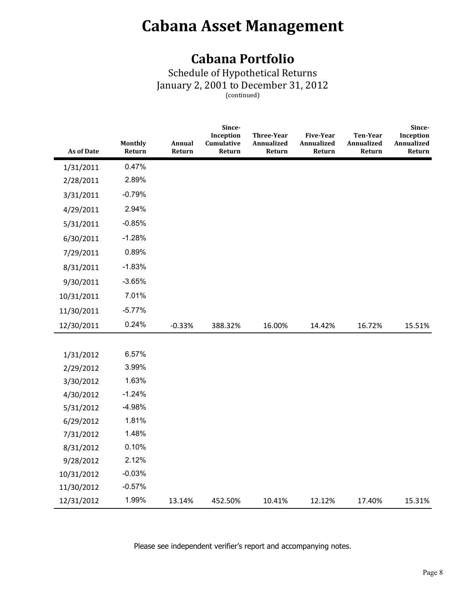### **Cabana Portfolio**

Schedule of Hypothetical Returns January 2, 2001 to December 31, 2012 (continued)

| <b>As of Date</b> | <b>Monthly</b><br>Return | Annual<br>Return | Since-<br>Inception<br>Cumulative<br>Return | Three-Year<br>Annualized<br>Return | <b>Five-Year</b><br>Annualized<br>Return | <b>Ten-Year</b><br>Annualized<br>Return | Since-<br>Inception<br>Annualized<br>Return |
|-------------------|--------------------------|------------------|---------------------------------------------|------------------------------------|------------------------------------------|-----------------------------------------|---------------------------------------------|
| 1/31/2011         | 0.47%                    |                  |                                             |                                    |                                          |                                         |                                             |
| 2/28/2011         | 2.89%                    |                  |                                             |                                    |                                          |                                         |                                             |
| 3/31/2011         | $-0.79%$                 |                  |                                             |                                    |                                          |                                         |                                             |
| 4/29/2011         | 2.94%                    |                  |                                             |                                    |                                          |                                         |                                             |
| 5/31/2011         | $-0.85%$                 |                  |                                             |                                    |                                          |                                         |                                             |
| 6/30/2011         | $-1.28%$                 |                  |                                             |                                    |                                          |                                         |                                             |
| 7/29/2011         | 0.89%                    |                  |                                             |                                    |                                          |                                         |                                             |
| 8/31/2011         | $-1.83%$                 |                  |                                             |                                    |                                          |                                         |                                             |
| 9/30/2011         | $-3.65%$                 |                  |                                             |                                    |                                          |                                         |                                             |
| 10/31/2011        | 7.01%                    |                  |                                             |                                    |                                          |                                         |                                             |
| 11/30/2011        | $-5.77%$                 |                  |                                             |                                    |                                          |                                         |                                             |
| 12/30/2011        | 0.24%                    | $-0.33%$         | 388.32%                                     | 16.00%                             | 14.42%                                   | 16.72%                                  | 15.51%                                      |
|                   |                          |                  |                                             |                                    |                                          |                                         |                                             |
| 1/31/2012         | 6.57%                    |                  |                                             |                                    |                                          |                                         |                                             |
| 2/29/2012         | 3.99%                    |                  |                                             |                                    |                                          |                                         |                                             |
| 3/30/2012         | 1.63%                    |                  |                                             |                                    |                                          |                                         |                                             |
| 4/30/2012         | $-1.24%$                 |                  |                                             |                                    |                                          |                                         |                                             |
| 5/31/2012         | $-4.98%$                 |                  |                                             |                                    |                                          |                                         |                                             |
| 6/29/2012         | 1.81%                    |                  |                                             |                                    |                                          |                                         |                                             |
| 7/31/2012         | 1.48%                    |                  |                                             |                                    |                                          |                                         |                                             |
| 8/31/2012         | 0.10%                    |                  |                                             |                                    |                                          |                                         |                                             |
| 9/28/2012         | 2.12%                    |                  |                                             |                                    |                                          |                                         |                                             |
| 10/31/2012        | $-0.03%$                 |                  |                                             |                                    |                                          |                                         |                                             |
| 11/30/2012        | $-0.57%$                 |                  |                                             |                                    |                                          |                                         |                                             |
| 12/31/2012        | 1.99%                    | 13.14%           | 452.50%                                     | 10.41%                             | 12.12%                                   | 17.40%                                  | 15.31%                                      |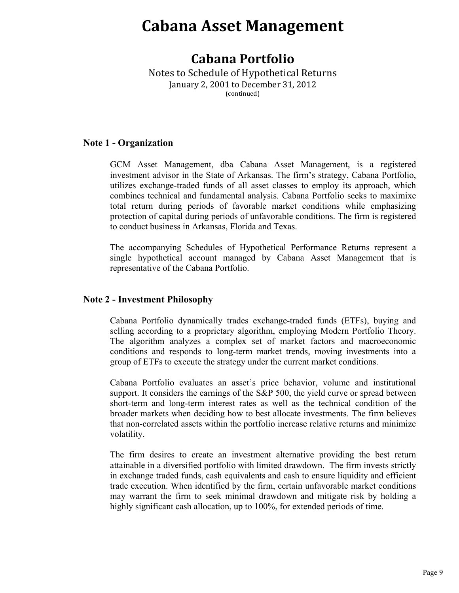### **Cabana Portfolio**

Notes to Schedule of Hypothetical Returns January 2, 2001 to December 31, 2012 (continued)

#### **Note 1 - Organization**

GCM Asset Management, dba Cabana Asset Management, is a registered investment advisor in the State of Arkansas. The firm's strategy, Cabana Portfolio, utilizes exchange-traded funds of all asset classes to employ its approach, which combines technical and fundamental analysis. Cabana Portfolio seeks to maximixe total return during periods of favorable market conditions while emphasizing protection of capital during periods of unfavorable conditions. The firm is registered to conduct business in Arkansas, Florida and Texas.

The accompanying Schedules of Hypothetical Performance Returns represent a single hypothetical account managed by Cabana Asset Management that is representative of the Cabana Portfolio.

#### **Note 2 - Investment Philosophy**

Cabana Portfolio dynamically trades exchange-traded funds (ETFs), buying and selling according to a proprietary algorithm, employing Modern Portfolio Theory. The algorithm analyzes a complex set of market factors and macroeconomic conditions and responds to long-term market trends, moving investments into a group of ETFs to execute the strategy under the current market conditions.

Cabana Portfolio evaluates an asset's price behavior, volume and institutional support. It considers the earnings of the S&P 500, the yield curve or spread between short-term and long-term interest rates as well as the technical condition of the broader markets when deciding how to best allocate investments. The firm believes that non-correlated assets within the portfolio increase relative returns and minimize volatility.

The firm desires to create an investment alternative providing the best return attainable in a diversified portfolio with limited drawdown. The firm invests strictly in exchange traded funds, cash equivalents and cash to ensure liquidity and efficient trade execution. When identified by the firm, certain unfavorable market conditions may warrant the firm to seek minimal drawdown and mitigate risk by holding a highly significant cash allocation, up to 100%, for extended periods of time.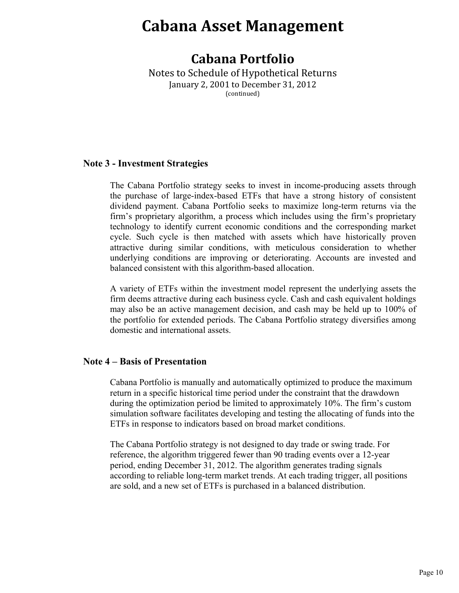### **Cabana Portfolio**

Notes to Schedule of Hypothetical Returns January 2, 2001 to December 31, 2012 (continued)

#### **Note 3 - Investment Strategies**

The Cabana Portfolio strategy seeks to invest in income-producing assets through the purchase of large-index-based ETFs that have a strong history of consistent dividend payment. Cabana Portfolio seeks to maximize long-term returns via the firm's proprietary algorithm, a process which includes using the firm's proprietary technology to identify current economic conditions and the corresponding market cycle. Such cycle is then matched with assets which have historically proven attractive during similar conditions, with meticulous consideration to whether underlying conditions are improving or deteriorating. Accounts are invested and balanced consistent with this algorithm-based allocation.

A variety of ETFs within the investment model represent the underlying assets the firm deems attractive during each business cycle. Cash and cash equivalent holdings may also be an active management decision, and cash may be held up to 100% of the portfolio for extended periods. The Cabana Portfolio strategy diversifies among domestic and international assets.

#### **Note 4 – Basis of Presentation**

Cabana Portfolio is manually and automatically optimized to produce the maximum return in a specific historical time period under the constraint that the drawdown during the optimization period be limited to approximately 10%. The firm's custom simulation software facilitates developing and testing the allocating of funds into the ETFs in response to indicators based on broad market conditions.

The Cabana Portfolio strategy is not designed to day trade or swing trade. For reference, the algorithm triggered fewer than 90 trading events over a 12-year period, ending December 31, 2012. The algorithm generates trading signals according to reliable long-term market trends. At each trading trigger, all positions are sold, and a new set of ETFs is purchased in a balanced distribution.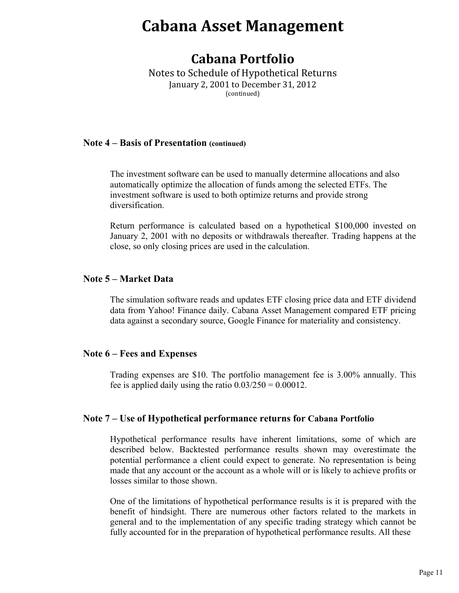### **Cabana Portfolio**

Notes to Schedule of Hypothetical Returns January 2, 2001 to December 31, 2012 (continued)

#### **Note 4 – Basis of Presentation (continued)**

The investment software can be used to manually determine allocations and also automatically optimize the allocation of funds among the selected ETFs. The investment software is used to both optimize returns and provide strong diversification.

Return performance is calculated based on a hypothetical \$100,000 invested on January 2, 2001 with no deposits or withdrawals thereafter. Trading happens at the close, so only closing prices are used in the calculation.

#### **Note 5 – Market Data**

The simulation software reads and updates ETF closing price data and ETF dividend data from Yahoo! Finance daily. Cabana Asset Management compared ETF pricing data against a secondary source, Google Finance for materiality and consistency.

#### **Note 6 – Fees and Expenses**

Trading expenses are \$10. The portfolio management fee is 3.00% annually. This fee is applied daily using the ratio  $0.03/250 = 0.00012$ .

#### **Note 7 – Use of Hypothetical performance returns for Cabana Portfolio**

Hypothetical performance results have inherent limitations, some of which are described below. Backtested performance results shown may overestimate the potential performance a client could expect to generate. No representation is being made that any account or the account as a whole will or is likely to achieve profits or losses similar to those shown.

One of the limitations of hypothetical performance results is it is prepared with the benefit of hindsight. There are numerous other factors related to the markets in general and to the implementation of any specific trading strategy which cannot be fully accounted for in the preparation of hypothetical performance results. All these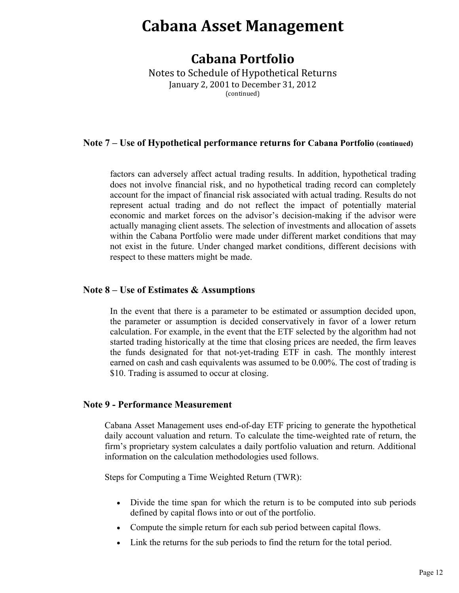### **Cabana Portfolio**

Notes to Schedule of Hypothetical Returns January 2, 2001 to December 31, 2012 (continued)

### **Note 7 – Use of Hypothetical performance returns for Cabana Portfolio (continued)**

factors can adversely affect actual trading results. In addition, hypothetical trading does not involve financial risk, and no hypothetical trading record can completely account for the impact of financial risk associated with actual trading. Results do not represent actual trading and do not reflect the impact of potentially material economic and market forces on the advisor's decision-making if the advisor were actually managing client assets. The selection of investments and allocation of assets within the Cabana Portfolio were made under different market conditions that may not exist in the future. Under changed market conditions, different decisions with respect to these matters might be made.

#### **Note 8 – Use of Estimates & Assumptions**

In the event that there is a parameter to be estimated or assumption decided upon, the parameter or assumption is decided conservatively in favor of a lower return calculation. For example, in the event that the ETF selected by the algorithm had not started trading historically at the time that closing prices are needed, the firm leaves the funds designated for that not-yet-trading ETF in cash. The monthly interest earned on cash and cash equivalents was assumed to be 0.00%. The cost of trading is \$10. Trading is assumed to occur at closing.

#### **Note 9 - Performance Measurement**

Cabana Asset Management uses end-of-day ETF pricing to generate the hypothetical daily account valuation and return. To calculate the time-weighted rate of return, the firm's proprietary system calculates a daily portfolio valuation and return. Additional information on the calculation methodologies used follows.

Steps for Computing a Time Weighted Return (TWR):

- Divide the time span for which the return is to be computed into sub periods defined by capital flows into or out of the portfolio.
- Compute the simple return for each sub period between capital flows.
- Iink the returns for the sub periods to find the return for the total period.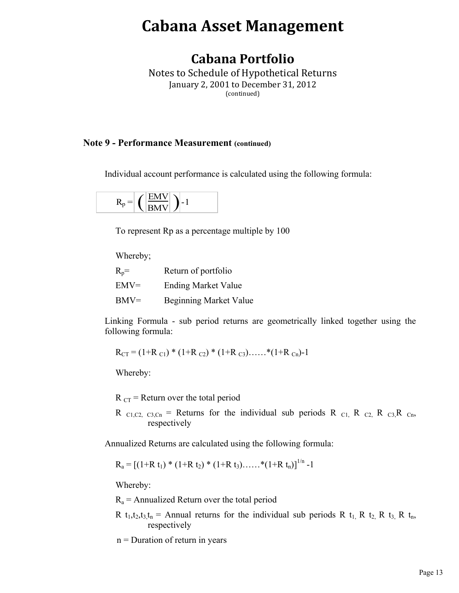### **Cabana Portfolio**

Notes to Schedule of Hypothetical Returns January 2, 2001 to December 31, 2012 (continued)

#### **Note 9 - Performance Measurement (continued)**

Individual account performance is calculated using the following formula:

$$
R_p = \left(\frac{EMV}{BMV}\right) - 1
$$

To represent Rp as a percentage multiple by 100

Whereby;

| $R_p =$ | Return of portfolio           |
|---------|-------------------------------|
| $EMV=$  | <b>Ending Market Value</b>    |
| $BMV=$  | <b>Beginning Market Value</b> |

Linking Formula - sub period returns are geometrically linked together using the following formula:

$$
R_{CT} = (1+R_{C1}) * (1+R_{C2}) * (1+R_{C3}) \dots * (1+R_{Cn})-1
$$

Whereby:

 $R_{CT}$  = Return over the total period

R  $_{C1,C2,C3,Cn}$  = Returns for the individual sub periods R  $_{C1}$ , R  $_{C2}$ , R  $_{C3}$ , R  $_{Cn}$ , respectively

Annualized Returns are calculated using the following formula:

 $R_a = [(1+R t_1) * (1+R t_2) * (1+R t_3) \dots * (1+R t_n)]^{1/n} -1$ 

Whereby:

 $R_a$  = Annualized Return over the total period

R t<sub>1</sub>,t<sub>2</sub>,t<sub>3</sub>,t<sub>n</sub> = Annual returns for the individual sub periods R t<sub>1</sub>, R t<sub>2</sub>, R t<sub>3</sub>, R t<sub>n</sub>, respectively

 $n =$  Duration of return in years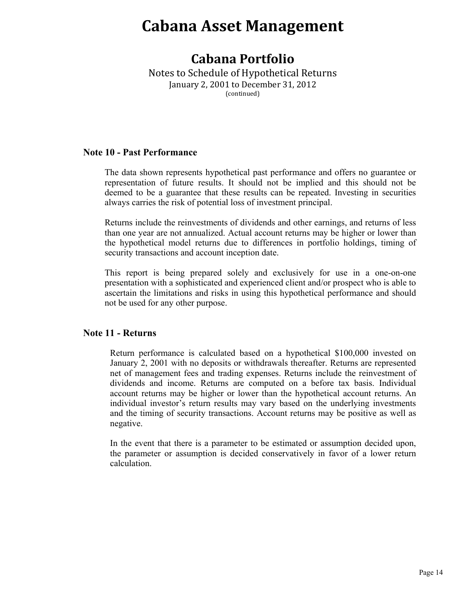### **Cabana Portfolio**

Notes to Schedule of Hypothetical Returns January 2, 2001 to December 31, 2012 (continued)

#### **Note 10 - Past Performance**

The data shown represents hypothetical past performance and offers no guarantee or representation of future results. It should not be implied and this should not be deemed to be a guarantee that these results can be repeated. Investing in securities always carries the risk of potential loss of investment principal.

Returns include the reinvestments of dividends and other earnings, and returns of less than one year are not annualized. Actual account returns may be higher or lower than the hypothetical model returns due to differences in portfolio holdings, timing of security transactions and account inception date.

This report is being prepared solely and exclusively for use in a one-on-one presentation with a sophisticated and experienced client and/or prospect who is able to ascertain the limitations and risks in using this hypothetical performance and should not be used for any other purpose.

#### **Note 11 - Returns**

Return performance is calculated based on a hypothetical \$100,000 invested on January 2, 2001 with no deposits or withdrawals thereafter. Returns are represented net of management fees and trading expenses. Returns include the reinvestment of dividends and income. Returns are computed on a before tax basis. Individual account returns may be higher or lower than the hypothetical account returns. An individual investor's return results may vary based on the underlying investments and the timing of security transactions. Account returns may be positive as well as negative.

In the event that there is a parameter to be estimated or assumption decided upon, the parameter or assumption is decided conservatively in favor of a lower return calculation.